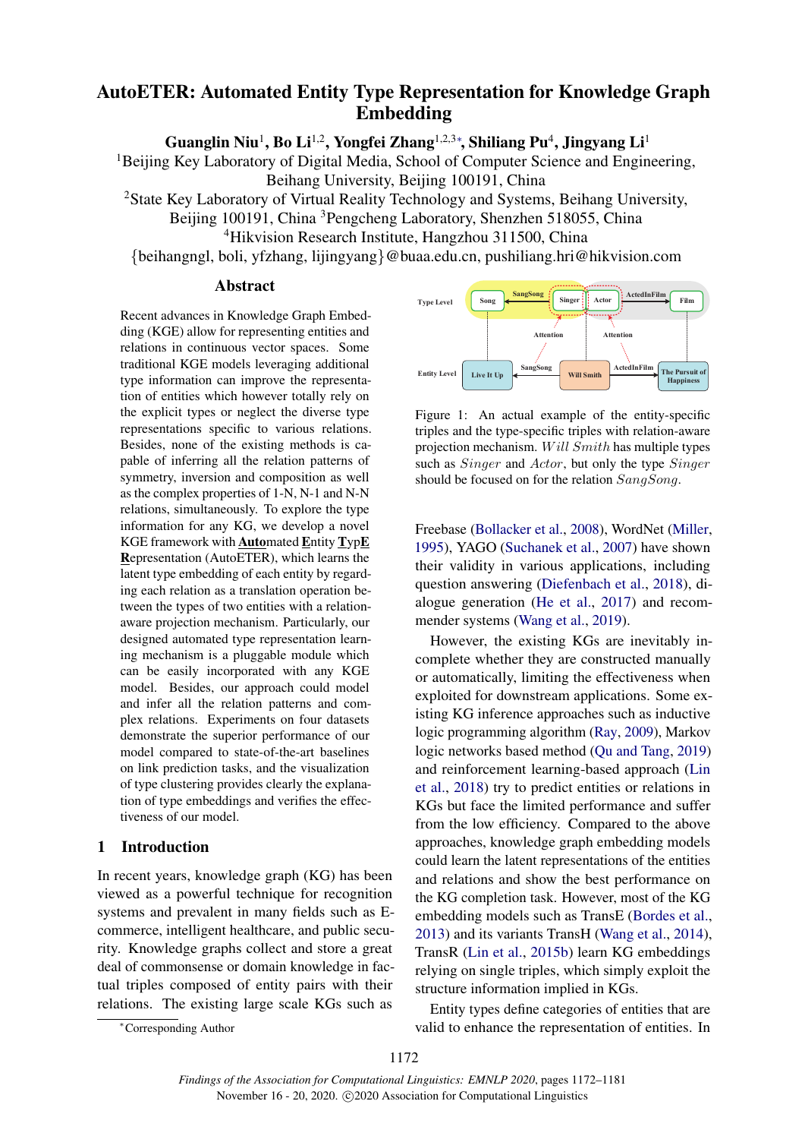# AutoETER: Automated Entity Type Representation for Knowledge Graph Embedding

Guanglin Niu<sup>1</sup>, Bo Li<sup>1,2</sup>, Yongfei Zhang<sup>1,2,3</sup>\*, Shiliang Pu<sup>4</sup>, Jingyang Li<sup>1</sup>

<sup>1</sup>Beijing Key Laboratory of Digital Media, School of Computer Science and Engineering, Beihang University, Beijing 100191, China

<sup>2</sup>State Key Laboratory of Virtual Reality Technology and Systems, Beihang University,

Beijing 100191, China <sup>3</sup>Pengcheng Laboratory, Shenzhen 518055, China <sup>4</sup>Hikvision Research Institute, Hangzhou 311500, China

{beihangngl, boli, yfzhang, lijingyang}@buaa.edu.cn, pushiliang.hri@hikvision.com

#### Abstract

Recent advances in Knowledge Graph Embedding (KGE) allow for representing entities and relations in continuous vector spaces. Some traditional KGE models leveraging additional type information can improve the representation of entities which however totally rely on the explicit types or neglect the diverse type representations specific to various relations. Besides, none of the existing methods is capable of inferring all the relation patterns of symmetry, inversion and composition as well as the complex properties of 1-N, N-1 and N-N relations, simultaneously. To explore the type information for any KG, we develop a novel KGE framework with Automated Entity TypE Representation (AutoETER), which learns the latent type embedding of each entity by regarding each relation as a translation operation between the types of two entities with a relationaware projection mechanism. Particularly, our designed automated type representation learning mechanism is a pluggable module which can be easily incorporated with any KGE model. Besides, our approach could model and infer all the relation patterns and complex relations. Experiments on four datasets demonstrate the superior performance of our model compared to state-of-the-art baselines on link prediction tasks, and the visualization of type clustering provides clearly the explanation of type embeddings and verifies the effectiveness of our model.

## 1 Introduction

In recent years, knowledge graph (KG) has been viewed as a powerful technique for recognition systems and prevalent in many fields such as Ecommerce, intelligent healthcare, and public security. Knowledge graphs collect and store a great deal of commonsense or domain knowledge in factual triples composed of entity pairs with their relations. The existing large scale KGs such as

<span id="page-0-0"></span>

Figure 1: An actual example of the entity-specific triples and the type-specific triples with relation-aware projection mechanism. W ill Smith has multiple types such as *Singer* and *Actor*, but only the type *Singer* should be focused on for the relation SangSong.

Freebase [\(Bollacker et al.,](#page-8-0) [2008\)](#page-8-0), WordNet [\(Miller,](#page-9-0) [1995\)](#page-9-0), YAGO [\(Suchanek et al.,](#page-9-1) [2007\)](#page-9-1) have shown their validity in various applications, including question answering [\(Diefenbach et al.,](#page-8-1) [2018\)](#page-8-1), dialogue generation [\(He et al.,](#page-8-2) [2017\)](#page-8-2) and recommender systems [\(Wang et al.,](#page-9-2) [2019\)](#page-9-2).

However, the existing KGs are inevitably incomplete whether they are constructed manually or automatically, limiting the effectiveness when exploited for downstream applications. Some existing KG inference approaches such as inductive logic programming algorithm [\(Ray,](#page-9-3) [2009\)](#page-9-3), Markov logic networks based method [\(Qu and Tang,](#page-9-4) [2019\)](#page-9-4) and reinforcement learning-based approach [\(Lin](#page-8-3) [et al.,](#page-8-3) [2018\)](#page-8-3) try to predict entities or relations in KGs but face the limited performance and suffer from the low efficiency. Compared to the above approaches, knowledge graph embedding models could learn the latent representations of the entities and relations and show the best performance on the KG completion task. However, most of the KG embedding models such as TransE [\(Bordes et al.,](#page-8-4) [2013\)](#page-8-4) and its variants TransH [\(Wang et al.,](#page-9-5) [2014\)](#page-9-5), TransR [\(Lin et al.,](#page-8-5) [2015b\)](#page-8-5) learn KG embeddings relying on single triples, which simply exploit the structure information implied in KGs.

Entity types define categories of entities that are valid to enhance the representation of entities. In

<sup>∗</sup>Corresponding Author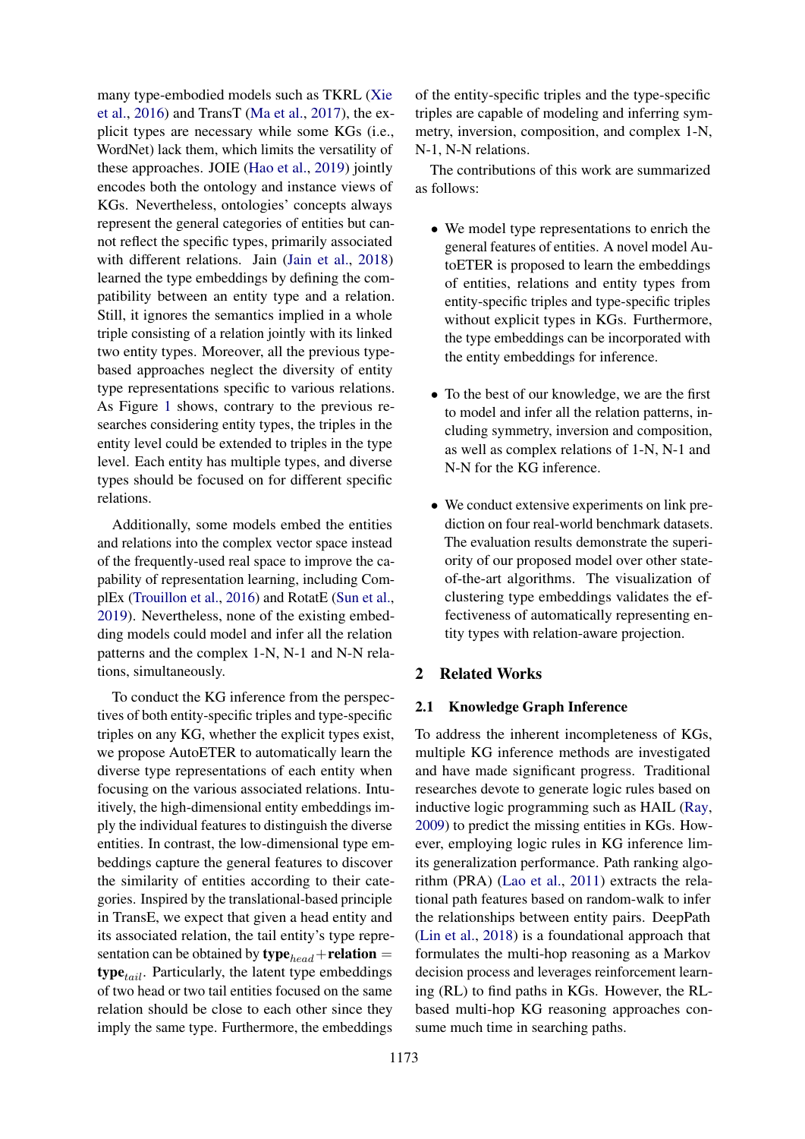many type-embodied models such as TKRL [\(Xie](#page-9-6) [et al.,](#page-9-6) [2016\)](#page-9-6) and TransT [\(Ma et al.,](#page-9-7) [2017\)](#page-9-7), the explicit types are necessary while some KGs (i.e., WordNet) lack them, which limits the versatility of these approaches. JOIE [\(Hao et al.,](#page-8-6) [2019\)](#page-8-6) jointly encodes both the ontology and instance views of KGs. Nevertheless, ontologies' concepts always represent the general categories of entities but cannot reflect the specific types, primarily associated with different relations. Jain [\(Jain et al.,](#page-8-7) [2018\)](#page-8-7) learned the type embeddings by defining the compatibility between an entity type and a relation. Still, it ignores the semantics implied in a whole triple consisting of a relation jointly with its linked two entity types. Moreover, all the previous typebased approaches neglect the diversity of entity type representations specific to various relations. As Figure [1](#page-0-0) shows, contrary to the previous researches considering entity types, the triples in the entity level could be extended to triples in the type level. Each entity has multiple types, and diverse types should be focused on for different specific relations.

Additionally, some models embed the entities and relations into the complex vector space instead of the frequently-used real space to improve the capability of representation learning, including ComplEx [\(Trouillon et al.,](#page-9-8) [2016\)](#page-9-8) and RotatE [\(Sun et al.,](#page-9-9) [2019\)](#page-9-9). Nevertheless, none of the existing embedding models could model and infer all the relation patterns and the complex 1-N, N-1 and N-N relations, simultaneously.

To conduct the KG inference from the perspectives of both entity-specific triples and type-specific triples on any KG, whether the explicit types exist, we propose AutoETER to automatically learn the diverse type representations of each entity when focusing on the various associated relations. Intuitively, the high-dimensional entity embeddings imply the individual features to distinguish the diverse entities. In contrast, the low-dimensional type embeddings capture the general features to discover the similarity of entities according to their categories. Inspired by the translational-based principle in TransE, we expect that given a head entity and its associated relation, the tail entity's type representation can be obtained by  $\text{type}_{head} + \text{relation} =$  $type_{tail}$ . Particularly, the latent type embeddings of two head or two tail entities focused on the same relation should be close to each other since they imply the same type. Furthermore, the embeddings

of the entity-specific triples and the type-specific triples are capable of modeling and inferring symmetry, inversion, composition, and complex 1-N, N-1, N-N relations.

The contributions of this work are summarized as follows:

- We model type representations to enrich the general features of entities. A novel model AutoETER is proposed to learn the embeddings of entities, relations and entity types from entity-specific triples and type-specific triples without explicit types in KGs. Furthermore, the type embeddings can be incorporated with the entity embeddings for inference.
- To the best of our knowledge, we are the first to model and infer all the relation patterns, including symmetry, inversion and composition, as well as complex relations of 1-N, N-1 and N-N for the KG inference.
- We conduct extensive experiments on link prediction on four real-world benchmark datasets. The evaluation results demonstrate the superiority of our proposed model over other stateof-the-art algorithms. The visualization of clustering type embeddings validates the effectiveness of automatically representing entity types with relation-aware projection.

## 2 Related Works

#### 2.1 Knowledge Graph Inference

To address the inherent incompleteness of KGs, multiple KG inference methods are investigated and have made significant progress. Traditional researches devote to generate logic rules based on inductive logic programming such as HAIL [\(Ray,](#page-9-3) [2009\)](#page-9-3) to predict the missing entities in KGs. However, employing logic rules in KG inference limits generalization performance. Path ranking algorithm (PRA) [\(Lao et al.,](#page-8-8) [2011\)](#page-8-8) extracts the relational path features based on random-walk to infer the relationships between entity pairs. DeepPath [\(Lin et al.,](#page-8-3) [2018\)](#page-8-3) is a foundational approach that formulates the multi-hop reasoning as a Markov decision process and leverages reinforcement learning (RL) to find paths in KGs. However, the RLbased multi-hop KG reasoning approaches consume much time in searching paths.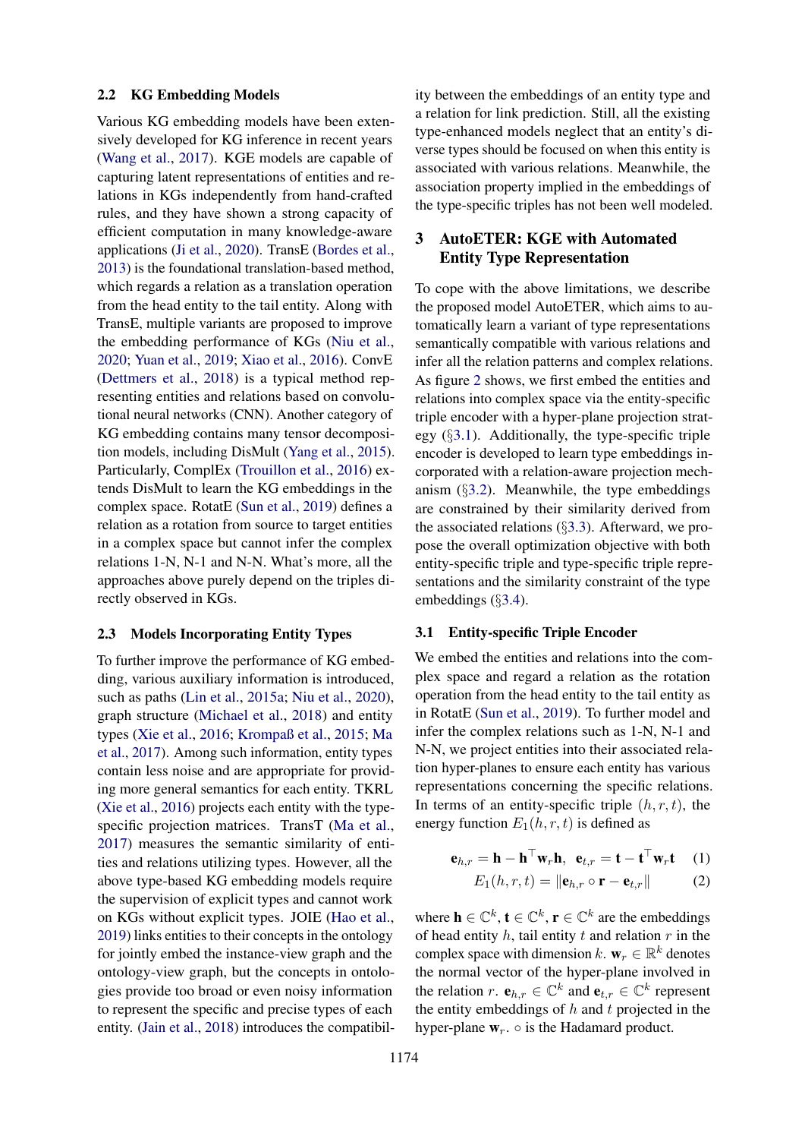#### 2.2 KG Embedding Models

Various KG embedding models have been extensively developed for KG inference in recent years [\(Wang et al.,](#page-9-10) [2017\)](#page-9-10). KGE models are capable of capturing latent representations of entities and relations in KGs independently from hand-crafted rules, and they have shown a strong capacity of efficient computation in many knowledge-aware applications [\(Ji et al.,](#page-8-9) [2020\)](#page-8-9). TransE [\(Bordes et al.,](#page-8-4) [2013\)](#page-8-4) is the foundational translation-based method, which regards a relation as a translation operation from the head entity to the tail entity. Along with TransE, multiple variants are proposed to improve the embedding performance of KGs [\(Niu et al.,](#page-9-11) [2020;](#page-9-11) [Yuan et al.,](#page-9-12) [2019;](#page-9-12) [Xiao et al.,](#page-9-13) [2016\)](#page-9-13). ConvE [\(Dettmers et al.,](#page-8-10) [2018\)](#page-8-10) is a typical method representing entities and relations based on convolutional neural networks (CNN). Another category of KG embedding contains many tensor decomposition models, including DisMult [\(Yang et al.,](#page-9-14) [2015\)](#page-9-14). Particularly, ComplEx [\(Trouillon et al.,](#page-9-8) [2016\)](#page-9-8) extends DisMult to learn the KG embeddings in the complex space. RotatE [\(Sun et al.,](#page-9-9) [2019\)](#page-9-9) defines a relation as a rotation from source to target entities in a complex space but cannot infer the complex relations 1-N, N-1 and N-N. What's more, all the approaches above purely depend on the triples directly observed in KGs.

## 2.3 Models Incorporating Entity Types

To further improve the performance of KG embedding, various auxiliary information is introduced, such as paths [\(Lin et al.,](#page-8-11) [2015a;](#page-8-11) [Niu et al.,](#page-9-11) [2020\)](#page-9-11), graph structure [\(Michael et al.,](#page-9-15) [2018\)](#page-9-15) and entity types [\(Xie et al.,](#page-9-6) [2016;](#page-9-6) [Krompaß et al.,](#page-8-12) [2015;](#page-8-12) [Ma](#page-9-7) [et al.,](#page-9-7) [2017\)](#page-9-7). Among such information, entity types contain less noise and are appropriate for providing more general semantics for each entity. TKRL [\(Xie et al.,](#page-9-6) [2016\)](#page-9-6) projects each entity with the typespecific projection matrices. TransT [\(Ma et al.,](#page-9-7) [2017\)](#page-9-7) measures the semantic similarity of entities and relations utilizing types. However, all the above type-based KG embedding models require the supervision of explicit types and cannot work on KGs without explicit types. JOIE [\(Hao et al.,](#page-8-6) [2019\)](#page-8-6) links entities to their concepts in the ontology for jointly embed the instance-view graph and the ontology-view graph, but the concepts in ontologies provide too broad or even noisy information to represent the specific and precise types of each entity. [\(Jain et al.,](#page-8-7) [2018\)](#page-8-7) introduces the compatibil-

ity between the embeddings of an entity type and a relation for link prediction. Still, all the existing type-enhanced models neglect that an entity's diverse types should be focused on when this entity is associated with various relations. Meanwhile, the association property implied in the embeddings of the type-specific triples has not been well modeled.

## 3 AutoETER: KGE with Automated Entity Type Representation

To cope with the above limitations, we describe the proposed model AutoETER, which aims to automatically learn a variant of type representations semantically compatible with various relations and infer all the relation patterns and complex relations. As figure [2](#page-3-0) shows, we first embed the entities and relations into complex space via the entity-specific triple encoder with a hyper-plane projection strategy (§[3.1\)](#page-2-0). Additionally, the type-specific triple encoder is developed to learn type embeddings incorporated with a relation-aware projection mechanism  $(\S3.2)$  $(\S3.2)$ . Meanwhile, the type embeddings are constrained by their similarity derived from the associated relations  $(\S3.3)$  $(\S3.3)$ . Afterward, we propose the overall optimization objective with both entity-specific triple and type-specific triple representations and the similarity constraint of the type embeddings (§[3.4\)](#page-4-1).

## <span id="page-2-0"></span>3.1 Entity-specific Triple Encoder

We embed the entities and relations into the complex space and regard a relation as the rotation operation from the head entity to the tail entity as in RotatE [\(Sun et al.,](#page-9-9) [2019\)](#page-9-9). To further model and infer the complex relations such as 1-N, N-1 and N-N, we project entities into their associated relation hyper-planes to ensure each entity has various representations concerning the specific relations. In terms of an entity-specific triple  $(h, r, t)$ , the energy function  $E_1(h, r, t)$  is defined as

$$
\mathbf{e}_{h,r} = \mathbf{h} - \mathbf{h}^{\top} \mathbf{w}_r \mathbf{h}, \quad \mathbf{e}_{t,r} = \mathbf{t} - \mathbf{t}^{\top} \mathbf{w}_r \mathbf{t} \tag{1}
$$

<span id="page-2-2"></span><span id="page-2-1"></span>
$$
E_1(h,r,t) = \|\mathbf{e}_{h,r} \circ \mathbf{r} - \mathbf{e}_{t,r}\| \tag{2}
$$

where  $\mathbf{h} \in \mathbb{C}^k$ ,  $\mathbf{t} \in \mathbb{C}^k$ ,  $\mathbf{r} \in \mathbb{C}^k$  are the embeddings of head entity  $h$ , tail entity  $t$  and relation  $r$  in the complex space with dimension k.  $w_r \in \mathbb{R}^k$  denotes the normal vector of the hyper-plane involved in the relation r.  $e_{h,r} \in \mathbb{C}^k$  and  $e_{t,r} \in \mathbb{C}^k$  represent the entity embeddings of  $h$  and  $t$  projected in the hyper-plane  $w_r$ .  $\circ$  is the Hadamard product.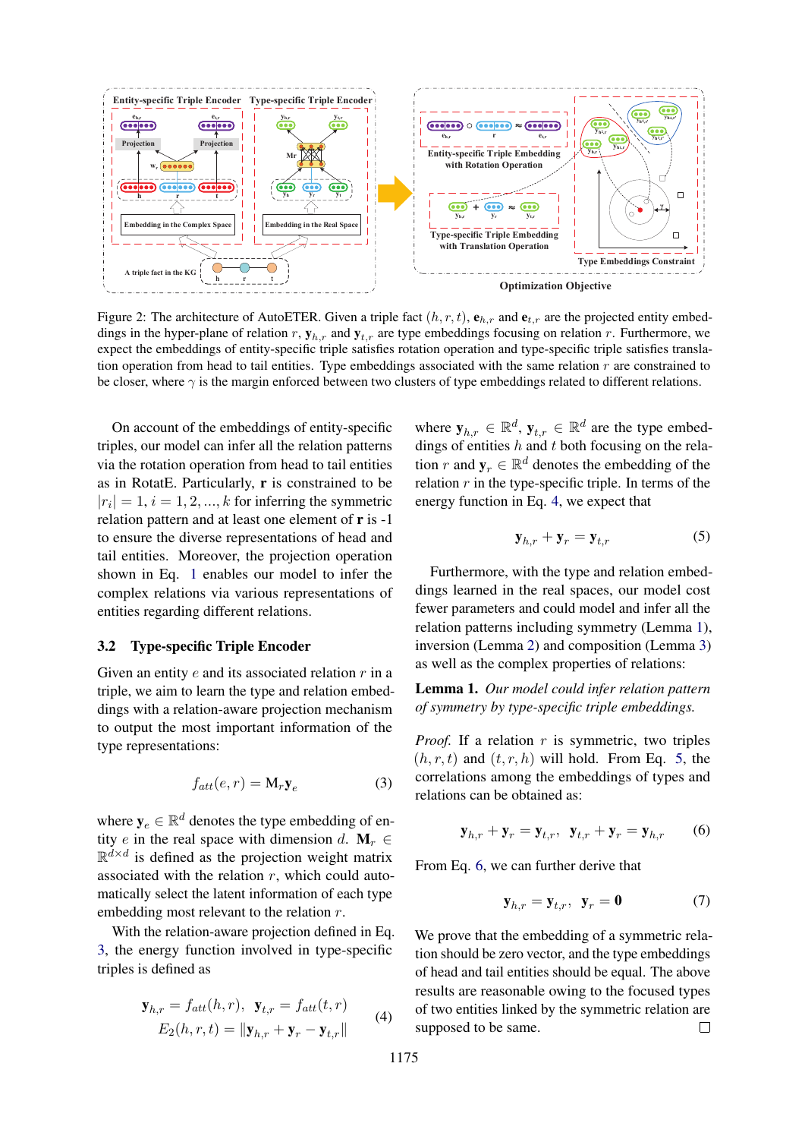<span id="page-3-0"></span>

Figure 2: The architecture of AutoETER. Given a triple fact  $(h, r, t)$ ,  $e_{h,r}$  and  $e_{t,r}$  are the projected entity embeddings in the hyper-plane of relation r,  $y_{h,r}$  and  $y_{t,r}$  are type embeddings focusing on relation r. Furthermore, we expect the embeddings of entity-specific triple satisfies rotation operation and type-specific triple satisfies translation operation from head to tail entities. Type embeddings associated with the same relation  $r$  are constrained to be closer, where  $\gamma$  is the margin enforced between two clusters of type embeddings related to different relations.

On account of the embeddings of entity-specific triples, our model can infer all the relation patterns via the rotation operation from head to tail entities as in RotatE. Particularly,  $\bf{r}$  is constrained to be  $|r_i| = 1, i = 1, 2, ..., k$  for inferring the symmetric relation pattern and at least one element of r is -1 to ensure the diverse representations of head and tail entities. Moreover, the projection operation shown in Eq. [1](#page-2-1) enables our model to infer the complex relations via various representations of entities regarding different relations.

## <span id="page-3-1"></span>3.2 Type-specific Triple Encoder

Given an entity  $e$  and its associated relation  $r$  in a triple, we aim to learn the type and relation embeddings with a relation-aware projection mechanism to output the most important information of the type representations:

<span id="page-3-2"></span>
$$
f_{att}(e,r) = \mathbf{M}_r \mathbf{y}_e \tag{3}
$$

where  $y_e \in \mathbb{R}^d$  denotes the type embedding of entity e in the real space with dimension d.  $M_r \in$  $\mathbb{R}^{d \times d}$  is defined as the projection weight matrix associated with the relation  $r$ , which could automatically select the latent information of each type embedding most relevant to the relation r.

With the relation-aware projection defined in Eq. [3,](#page-3-2) the energy function involved in type-specific triples is defined as

<span id="page-3-3"></span>
$$
\mathbf{y}_{h,r} = f_{att}(h,r), \quad \mathbf{y}_{t,r} = f_{att}(t,r)
$$
  

$$
E_2(h,r,t) = ||\mathbf{y}_{h,r} + \mathbf{y}_r - \mathbf{y}_{t,r}|| \tag{4}
$$

where  $y_{h,r} \in \mathbb{R}^d$ ,  $y_{t,r} \in \mathbb{R}^d$  are the type embeddings of entities  $h$  and  $t$  both focusing on the relation r and  $y_r \in \mathbb{R}^d$  denotes the embedding of the relation  $r$  in the type-specific triple. In terms of the energy function in Eq. [4,](#page-3-3) we expect that

<span id="page-3-5"></span>
$$
\mathbf{y}_{h,r} + \mathbf{y}_r = \mathbf{y}_{t,r} \tag{5}
$$

Furthermore, with the type and relation embeddings learned in the real spaces, our model cost fewer parameters and could model and infer all the relation patterns including symmetry (Lemma [1\)](#page-3-4), inversion (Lemma [2\)](#page-4-2) and composition (Lemma [3\)](#page-4-3) as well as the complex properties of relations:

<span id="page-3-4"></span>Lemma 1. *Our model could infer relation pattern of symmetry by type-specific triple embeddings.*

*Proof.* If a relation  $r$  is symmetric, two triples  $(h, r, t)$  and  $(t, r, h)$  will hold. From Eq. [5,](#page-3-5) the correlations among the embeddings of types and relations can be obtained as:

$$
\mathbf{y}_{h,r} + \mathbf{y}_r = \mathbf{y}_{t,r}, \ \mathbf{y}_{t,r} + \mathbf{y}_r = \mathbf{y}_{h,r} \tag{6}
$$

From Eq. [6,](#page-3-6) we can further derive that

<span id="page-3-6"></span>
$$
\mathbf{y}_{h,r} = \mathbf{y}_{t,r}, \ \mathbf{y}_r = \mathbf{0} \tag{7}
$$

We prove that the embedding of a symmetric relation should be zero vector, and the type embeddings of head and tail entities should be equal. The above results are reasonable owing to the focused types of two entities linked by the symmetric relation are supposed to be same. $\Box$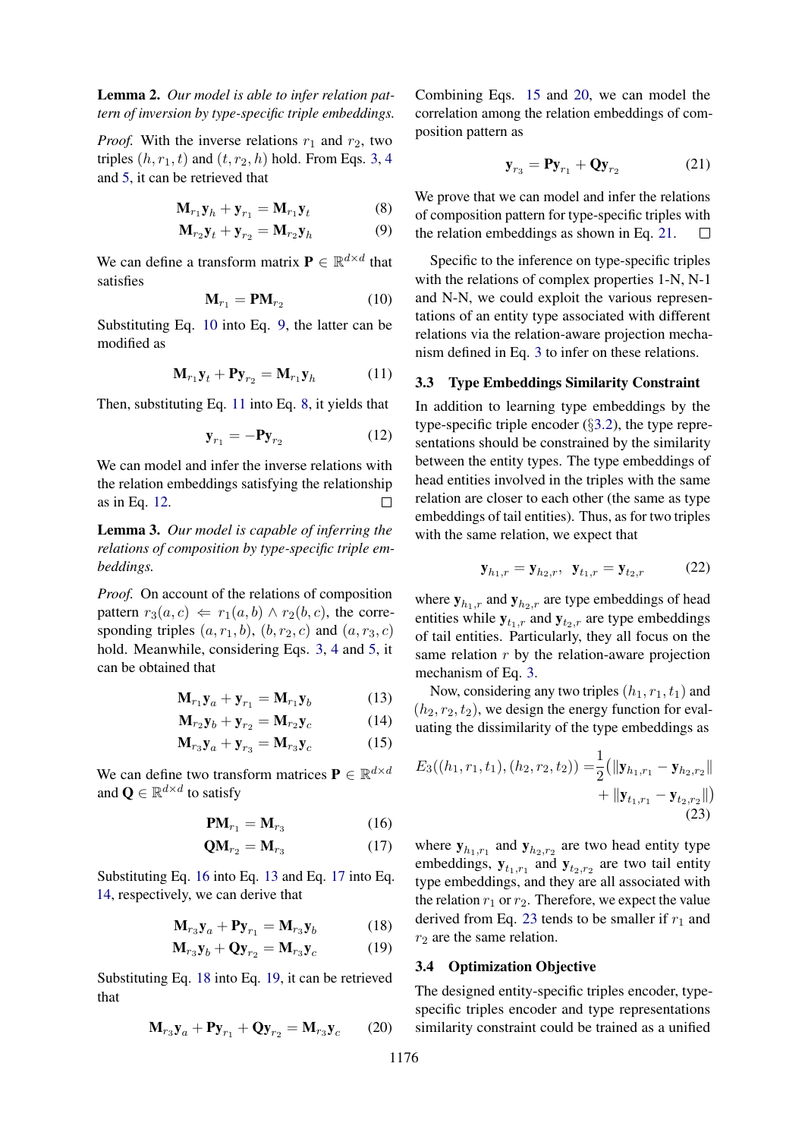<span id="page-4-2"></span>Lemma 2. *Our model is able to infer relation pattern of inversion by type-specific triple embeddings.*

*Proof.* With the inverse relations  $r_1$  and  $r_2$ , two triples  $(h, r_1, t)$  and  $(t, r_2, h)$  hold. From Eqs. [3,](#page-3-2) [4](#page-3-3) and [5,](#page-3-5) it can be retrieved that

$$
\mathbf{M}_{r_1}\mathbf{y}_h + \mathbf{y}_{r_1} = \mathbf{M}_{r_1}\mathbf{y}_t \tag{8}
$$

$$
\mathbf{M}_{r_2}\mathbf{y}_t + \mathbf{y}_{r_2} = \mathbf{M}_{r_2}\mathbf{y}_h \tag{9}
$$

<span id="page-4-4"></span>We can define a transform matrix  $P \in \mathbb{R}^{d \times d}$  that satisfies

$$
\mathbf{M}_{r_1} = \mathbf{P}\mathbf{M}_{r_2} \tag{10}
$$

Substituting Eq. [10](#page-4-4) into Eq. [9,](#page-4-5) the latter can be modified as

<span id="page-4-6"></span>
$$
\mathbf{M}_{r_1}\mathbf{y}_t + \mathbf{P}\mathbf{y}_{r_2} = \mathbf{M}_{r_1}\mathbf{y}_h \tag{11}
$$

Then, substituting Eq. [11](#page-4-6) into Eq. [8,](#page-4-7) it yields that

$$
\mathbf{y}_{r_1} = -\mathbf{P}\mathbf{y}_{r_2} \tag{12}
$$

We can model and infer the inverse relations with the relation embeddings satisfying the relationship as in Eq. [12.](#page-4-8)  $\Box$ 

<span id="page-4-3"></span>Lemma 3. *Our model is capable of inferring the relations of composition by type-specific triple embeddings.*

*Proof.* On account of the relations of composition pattern  $r_3(a, c) \Leftarrow r_1(a, b) \wedge r_2(b, c)$ , the corresponding triples  $(a, r_1, b)$ ,  $(b, r_2, c)$  and  $(a, r_3, c)$ hold. Meanwhile, considering Eqs. [3,](#page-3-2) [4](#page-3-3) and [5,](#page-3-5) it can be obtained that

$$
\mathbf{M}_{r_1}\mathbf{y}_a + \mathbf{y}_{r_1} = \mathbf{M}_{r_1}\mathbf{y}_b \tag{13}
$$

$$
\mathbf{M}_{r_2}\mathbf{y}_b + \mathbf{y}_{r_2} = \mathbf{M}_{r_2}\mathbf{y}_c \tag{14}
$$

$$
\mathbf{M}_{r_3}\mathbf{y}_a + \mathbf{y}_{r_3} = \mathbf{M}_{r_3}\mathbf{y}_c \tag{15}
$$

We can define two transform matrices  $\mathbf{P} \in \mathbb{R}^{d \times d}$ and  $\mathbf{Q} \in \mathbb{R}^{d \times d}$  to satisfy

$$
\mathbf{PM}_{r_1} = \mathbf{M}_{r_3} \tag{16}
$$

$$
\mathbf{Q}\mathbf{M}_{r_2} = \mathbf{M}_{r_3} \tag{17}
$$

Substituting Eq. [16](#page-4-9) into Eq. [13](#page-4-10) and Eq. [17](#page-4-11) into Eq. [14,](#page-4-12) respectively, we can derive that

$$
\mathbf{M}_{r_3}\mathbf{y}_a + \mathbf{P}\mathbf{y}_{r_1} = \mathbf{M}_{r_3}\mathbf{y}_b \tag{18}
$$

$$
\mathbf{M}_{r_3}\mathbf{y}_b + \mathbf{Q}\mathbf{y}_{r_2} = \mathbf{M}_{r_3}\mathbf{y}_c \tag{19}
$$

<span id="page-4-16"></span>Substituting Eq. [18](#page-4-13) into Eq. [19,](#page-4-14) it can be retrieved that

$$
\mathbf{M}_{r_3}\mathbf{y}_a + \mathbf{P}\mathbf{y}_{r_1} + \mathbf{Q}\mathbf{y}_{r_2} = \mathbf{M}_{r_3}\mathbf{y}_c \qquad (20)
$$

Combining Eqs. [15](#page-4-15) and [20,](#page-4-16) we can model the correlation among the relation embeddings of composition pattern as

<span id="page-4-17"></span>
$$
\mathbf{y}_{r_3} = \mathbf{P} \mathbf{y}_{r_1} + \mathbf{Q} \mathbf{y}_{r_2} \tag{21}
$$

<span id="page-4-7"></span><span id="page-4-5"></span>We prove that we can model and infer the relations of composition pattern for type-specific triples with the relation embeddings as shown in Eq. [21.](#page-4-17)  $\Box$ 

Specific to the inference on type-specific triples with the relations of complex properties 1-N, N-1 and N-N, we could exploit the various representations of an entity type associated with different relations via the relation-aware projection mechanism defined in Eq. [3](#page-3-2) to infer on these relations.

## <span id="page-4-0"></span>3.3 Type Embeddings Similarity Constraint

<span id="page-4-8"></span>In addition to learning type embeddings by the type-specific triple encoder (§[3.2\)](#page-3-1), the type representations should be constrained by the similarity between the entity types. The type embeddings of head entities involved in the triples with the same relation are closer to each other (the same as type embeddings of tail entities). Thus, as for two triples with the same relation, we expect that

$$
\mathbf{y}_{h_1,r} = \mathbf{y}_{h_2,r}, \ \mathbf{y}_{t_1,r} = \mathbf{y}_{t_2,r} \tag{22}
$$

where  $y_{h_1,r}$  and  $y_{h_2,r}$  are type embeddings of head entities while  $y_{t_1,r}$  and  $y_{t_2,r}$  are type embeddings of tail entities. Particularly, they all focus on the same relation  $r$  by the relation-aware projection mechanism of Eq. [3.](#page-3-2)

<span id="page-4-12"></span><span id="page-4-10"></span>Now, considering any two triples  $(h_1, r_1, t_1)$  and  $(h_2, r_2, t_2)$ , we design the energy function for evaluating the dissimilarity of the type embeddings as

<span id="page-4-18"></span><span id="page-4-15"></span>
$$
E_3((h_1, r_1, t_1), (h_2, r_2, t_2)) = \frac{1}{2} (||\mathbf{y}_{h_1, r_1} - \mathbf{y}_{h_2, r_2}|| + ||\mathbf{y}_{t_1, r_1} - \mathbf{y}_{t_2, r_2}||)
$$
  
(23)

<span id="page-4-11"></span><span id="page-4-9"></span>where  $y_{h_1,r_1}$  and  $y_{h_2,r_2}$  are two head entity type embeddings,  $y_{t_1,r_1}$  and  $y_{t_2,r_2}$  are two tail entity type embeddings, and they are all associated with the relation  $r_1$  or  $r_2$ . Therefore, we expect the value derived from Eq. [23](#page-4-18) tends to be smaller if  $r_1$  and  $r_2$  are the same relation.

## <span id="page-4-14"></span><span id="page-4-13"></span><span id="page-4-1"></span>3.4 Optimization Objective

The designed entity-specific triples encoder, typespecific triples encoder and type representations similarity constraint could be trained as a unified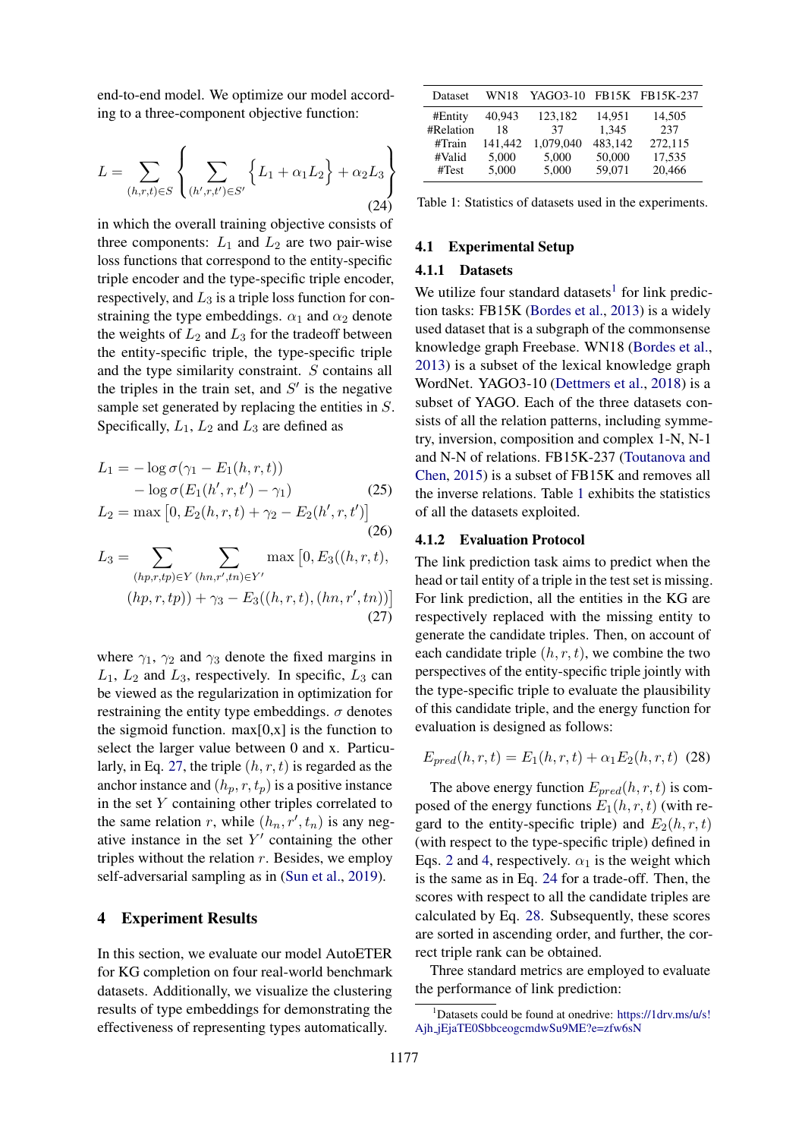end-to-end model. We optimize our model according to a three-component objective function:

$$
L = \sum_{(h,r,t)\in S} \left\{ \sum_{(h',r,t')\in S'} \left\{ L_1 + \alpha_1 L_2 \right\} + \alpha_2 L_3 \right\}
$$
(24)

in which the overall training objective consists of three components:  $L_1$  and  $L_2$  are two pair-wise loss functions that correspond to the entity-specific triple encoder and the type-specific triple encoder, respectively, and  $L_3$  is a triple loss function for constraining the type embeddings.  $\alpha_1$  and  $\alpha_2$  denote the weights of  $L_2$  and  $L_3$  for the tradeoff between the entity-specific triple, the type-specific triple and the type similarity constraint. S contains all the triples in the train set, and  $S'$  is the negative sample set generated by replacing the entities in S. Specifically,  $L_1$ ,  $L_2$  and  $L_3$  are defined as

$$
L_1 = -\log \sigma(\gamma_1 - E_1(h, r, t))
$$
  
-  $\log \sigma(E_1(h', r, t') - \gamma_1)$  (25)  

$$
L_2 = \max [0, E_2(h, r, t) + \gamma_2 - E_2(h', r, t')]
$$

$$
a_3 = \sum_{n=1}^{\infty} \sum_{n=1}^{\infty} \max\left[0, E_3((h, r, t)), \frac{1}{2} \right]
$$

$$
L_3 = \sum_{(hp,r,tp)\in Y} \sum_{(hn,r',tn)\in Y'} \max [0, E_3((h,r,t)),
$$
  
\n
$$
(hp,r,tp)) + \gamma_3 - E_3((h,r,t), (hn,r',tn))]
$$
\n(27)

where  $\gamma_1$ ,  $\gamma_2$  and  $\gamma_3$  denote the fixed margins in  $L_1$ ,  $L_2$  and  $L_3$ , respectively. In specific,  $L_3$  can be viewed as the regularization in optimization for restraining the entity type embeddings.  $\sigma$  denotes the sigmoid function.  $max[0, x]$  is the function to select the larger value between 0 and x. Particu-larly, in Eq. [27,](#page-5-0) the triple  $(h, r, t)$  is regarded as the anchor instance and  $(h_p, r, t_p)$  is a positive instance in the set  $Y$  containing other triples correlated to the same relation r, while  $(h_n, r', t_n)$  is any negative instance in the set  $Y'$  containing the other triples without the relation  $r$ . Besides, we employ self-adversarial sampling as in [\(Sun et al.,](#page-9-9) [2019\)](#page-9-9).

#### 4 Experiment Results

In this section, we evaluate our model AutoETER for KG completion on four real-world benchmark datasets. Additionally, we visualize the clustering results of type embeddings for demonstrating the effectiveness of representing types automatically.

<span id="page-5-3"></span><span id="page-5-2"></span>

| Dataset   | WN18    |           |         | YAGO3-10 FB15K FB15K-237 |
|-----------|---------|-----------|---------|--------------------------|
| #Entity   | 40,943  | 123,182   | 14,951  | 14,505                   |
| #Relation | 18      | 37        | 1,345   | 237                      |
| #Train    | 141.442 | 1,079,040 | 483.142 | 272,115                  |
| #Valid    | 5.000   | 5,000     | 50,000  | 17,535                   |
| #Test     | 5,000   | 5,000     | 59,071  | 20,466                   |

Table 1: Statistics of datasets used in the experiments.

## 4.1 Experimental Setup

#### 4.1.1 Datasets

We utilize four standard datasets<sup>[1](#page-5-1)</sup> for link prediction tasks: FB15K [\(Bordes et al.,](#page-8-4) [2013\)](#page-8-4) is a widely used dataset that is a subgraph of the commonsense knowledge graph Freebase. WN18 [\(Bordes et al.,](#page-8-4) [2013\)](#page-8-4) is a subset of the lexical knowledge graph WordNet. YAGO3-10 [\(Dettmers et al.,](#page-8-10) [2018\)](#page-8-10) is a subset of YAGO. Each of the three datasets consists of all the relation patterns, including symmetry, inversion, composition and complex 1-N, N-1 and N-N of relations. FB15K-237 [\(Toutanova and](#page-9-16) [Chen,](#page-9-16) [2015\)](#page-9-16) is a subset of FB15K and removes all the inverse relations. Table [1](#page-5-2) exhibits the statistics of all the datasets exploited.

#### 4.1.2 Evaluation Protocol

<span id="page-5-0"></span>The link prediction task aims to predict when the head or tail entity of a triple in the test set is missing. For link prediction, all the entities in the KG are respectively replaced with the missing entity to generate the candidate triples. Then, on account of each candidate triple  $(h, r, t)$ , we combine the two perspectives of the entity-specific triple jointly with the type-specific triple to evaluate the plausibility of this candidate triple, and the energy function for evaluation is designed as follows:

<span id="page-5-4"></span>
$$
E_{pred}(h, r, t) = E_1(h, r, t) + \alpha_1 E_2(h, r, t)
$$
 (28)

The above energy function  $E_{pred}(h, r, t)$  is composed of the energy functions  $E_1(h, r, t)$  (with regard to the entity-specific triple) and  $E_2(h, r, t)$ (with respect to the type-specific triple) defined in Eqs. [2](#page-2-2) and [4,](#page-3-3) respectively.  $\alpha_1$  is the weight which is the same as in Eq. [24](#page-5-3) for a trade-off. Then, the scores with respect to all the candidate triples are calculated by Eq. [28.](#page-5-4) Subsequently, these scores are sorted in ascending order, and further, the correct triple rank can be obtained.

Three standard metrics are employed to evaluate the performance of link prediction:

<span id="page-5-1"></span><sup>&</sup>lt;sup>1</sup>Datasets could be found at onedrive: [https://1drv.ms/u/s!](https://1drv.ms/u/s!Ajh_jEjaTE0SbbceogcmdwSu9ME?e=zfw6sN) Ajh [jEjaTE0SbbceogcmdwSu9ME?e=zfw6sN](https://1drv.ms/u/s!Ajh_jEjaTE0SbbceogcmdwSu9ME?e=zfw6sN)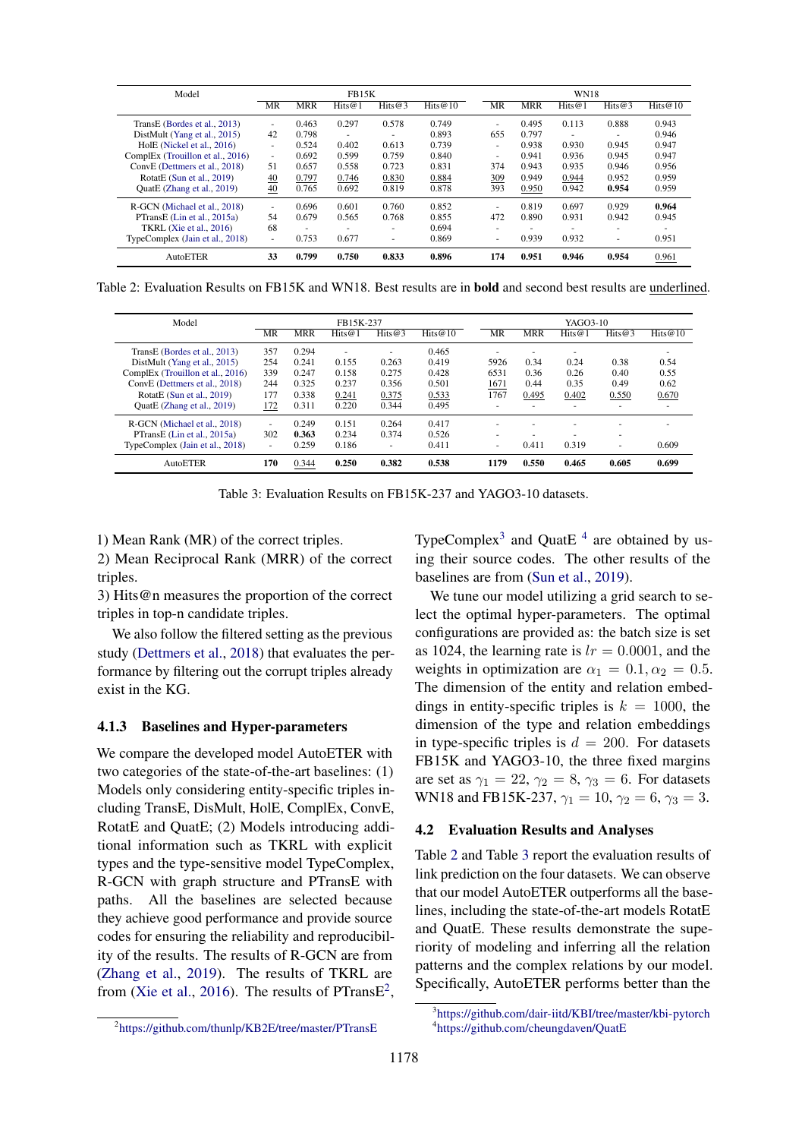<span id="page-6-3"></span>

| Model                            |                          | <b>FB15K</b> |        |                          |         |  | <b>WN18</b> |            |           |        |            |
|----------------------------------|--------------------------|--------------|--------|--------------------------|---------|--|-------------|------------|-----------|--------|------------|
|                                  | MR                       | <b>MRR</b>   | Hits@1 | Hits@3                   | Hits@10 |  | MR          | <b>MRR</b> | Hits $@1$ | Hits@3 | Hits $@10$ |
| TransE (Bordes et al., 2013)     | $\overline{\phantom{a}}$ | 0.463        | 0.297  | 0.578                    | 0.749   |  | $\sim$      | 0.495      | 0.113     | 0.888  | 0.943      |
| DistMult (Yang et al., 2015)     | 42                       | 0.798        | ٠      | $\overline{\phantom{a}}$ | 0.893   |  | 655         | 0.797      | ٠         | ٠      | 0.946      |
| HolE (Nickel et al., 2016)       | $\overline{\phantom{a}}$ | 0.524        | 0.402  | 0.613                    | 0.739   |  | $\sim$      | 0.938      | 0.930     | 0.945  | 0.947      |
| ComplEx (Trouillon et al., 2016) | $\overline{\phantom{a}}$ | 0.692        | 0.599  | 0.759                    | 0.840   |  | ۰           | 0.941      | 0.936     | 0.945  | 0.947      |
| ConvE (Dettmers et al., 2018)    | 51                       | 0.657        | 0.558  | 0.723                    | 0.831   |  | 374         | 0.943      | 0.935     | 0.946  | 0.956      |
| RotatE $(Sun et al., 2019)$      | 40                       | 0.797        | 0.746  | 0.830                    | 0.884   |  | 309         | 0.949      | 0.944     | 0.952  | 0.959      |
| QuatE (Zhang et al., 2019)       | $\overline{40}$          | 0.765        | 0.692  | 0.819                    | 0.878   |  | 393         | 0.950      | 0.942     | 0.954  | 0.959      |
| R-GCN (Michael et al., 2018)     | $\overline{\phantom{a}}$ | 0.696        | 0.601  | 0.760                    | 0.852   |  | $\sim$      | 0.819      | 0.697     | 0.929  | 0.964      |
| PTransE (Lin et al., 2015a)      | 54                       | 0.679        | 0.565  | 0.768                    | 0.855   |  | 472         | 0.890      | 0.931     | 0.942  | 0.945      |
| TKRL $(Xie et al., 2016)$        | 68                       |              | ۰      | $\overline{\phantom{a}}$ | 0.694   |  | ۰           |            |           | ۰      |            |
| TypeComplex (Jain et al., 2018)  | $\overline{\phantom{a}}$ | 0.753        | 0.677  | ٠                        | 0.869   |  | ٠           | 0.939      | 0.932     | ٠      | 0.951      |
| AutoETER                         | 33                       | 0.799        | 0.750  | 0.833                    | 0.896   |  | 174         | 0.951      | 0.946     | 0.954  | 0.961      |

Table 2: Evaluation Results on FB15K and WN18. Best results are in bold and second best results are underlined.

<span id="page-6-4"></span>

| Model                            | FB15K-237 |            |        |                          |            |          | YAGO3-10   |        |        |                          |  |  |
|----------------------------------|-----------|------------|--------|--------------------------|------------|----------|------------|--------|--------|--------------------------|--|--|
|                                  | MR        | <b>MRR</b> | Hits@1 | Hits@3                   | Hits $@10$ | MR       | <b>MRR</b> | Hits@1 | Hits@3 | Hits@10                  |  |  |
| TransE (Bordes et al., 2013)     | 357       | 0.294      |        | -                        | 0.465      |          |            |        |        |                          |  |  |
| DistMult (Yang et al., 2015)     | 254       | 0.241      | 0.155  | 0.263                    | 0.419      | 5926     | 0.34       | 0.24   | 0.38   | 0.54                     |  |  |
| ComplEx (Trouillon et al., 2016) | 339       | 0.247      | 0.158  | 0.275                    | 0.428      | 6531     | 0.36       | 0.26   | 0.40   | 0.55                     |  |  |
| ConvE (Dettmers et al., 2018)    | 244       | 0.325      | 0.237  | 0.356                    | 0.501      | 1671     | 0.44       | 0.35   | 0.49   | 0.62                     |  |  |
| RotatE (Sun et al., 2019)        | 177       | 0.338      | 0.241  | 0.375                    | 0.533      | 1767     | 0.495      | 0.402  | 0.550  | 0.670                    |  |  |
| QuatE (Zhang et al., 2019)       | 172       | 0.311      | 0.220  | 0.344                    | 0.495      |          |            |        | -      | $\overline{\phantom{a}}$ |  |  |
| R-GCN (Michael et al., 2018)     | ٠         | 0.249      | 0.151  | 0.264                    | 0.417      |          |            | ۰      | -      |                          |  |  |
| PTransE (Lin et al., 2015a)      | 302       | 0.363      | 0.234  | 0.374                    | 0.526      | -        |            |        | -      |                          |  |  |
| TypeComplex (Jain et al., 2018)  | ٠         | 0.259      | 0.186  | $\overline{\phantom{a}}$ | 0.411      | <b>.</b> | 0.411      | 0.319  | ٠      | 0.609                    |  |  |
| AutoETER                         | 170       | 0.344      | 0.250  | 0.382                    | 0.538      | 1179     | 0.550      | 0.465  | 0.605  | 0.699                    |  |  |

Table 3: Evaluation Results on FB15K-237 and YAGO3-10 datasets.

1) Mean Rank (MR) of the correct triples.

2) Mean Reciprocal Rank (MRR) of the correct triples.

3) Hits@n measures the proportion of the correct triples in top-n candidate triples.

We also follow the filtered setting as the previous study [\(Dettmers et al.,](#page-8-10) [2018\)](#page-8-10) that evaluates the performance by filtering out the corrupt triples already exist in the KG.

## 4.1.3 Baselines and Hyper-parameters

We compare the developed model AutoETER with two categories of the state-of-the-art baselines: (1) Models only considering entity-specific triples including TransE, DisMult, HolE, ComplEx, ConvE, RotatE and QuatE; (2) Models introducing additional information such as TKRL with explicit types and the type-sensitive model TypeComplex, R-GCN with graph structure and PTransE with paths. All the baselines are selected because they achieve good performance and provide source codes for ensuring the reliability and reproducibility of the results. The results of R-GCN are from [\(Zhang et al.,](#page-9-18) [2019\)](#page-9-18). The results of TKRL are from [\(Xie et al.,](#page-9-6) [2016\)](#page-9-6). The results of PTrans $E^2$  $E^2$ , TypeComplex<sup>[3](#page-6-1)</sup> and QuatE<sup>[4](#page-6-2)</sup> are obtained by using their source codes. The other results of the baselines are from [\(Sun et al.,](#page-9-9) [2019\)](#page-9-9).

We tune our model utilizing a grid search to select the optimal hyper-parameters. The optimal configurations are provided as: the batch size is set as 1024, the learning rate is  $lr = 0.0001$ , and the weights in optimization are  $\alpha_1 = 0.1, \alpha_2 = 0.5$ . The dimension of the entity and relation embeddings in entity-specific triples is  $k = 1000$ , the dimension of the type and relation embeddings in type-specific triples is  $d = 200$ . For datasets FB15K and YAGO3-10, the three fixed margins are set as  $\gamma_1 = 22$ ,  $\gamma_2 = 8$ ,  $\gamma_3 = 6$ . For datasets WN18 and FB15K-237,  $\gamma_1 = 10$ ,  $\gamma_2 = 6$ ,  $\gamma_3 = 3$ .

#### 4.2 Evaluation Results and Analyses

Table [2](#page-6-3) and Table [3](#page-6-4) report the evaluation results of link prediction on the four datasets. We can observe that our model AutoETER outperforms all the baselines, including the state-of-the-art models RotatE and QuatE. These results demonstrate the superiority of modeling and inferring all the relation patterns and the complex relations by our model. Specifically, AutoETER performs better than the

<span id="page-6-0"></span><sup>2</sup> <https://github.com/thunlp/KB2E/tree/master/PTransE>

<span id="page-6-2"></span><span id="page-6-1"></span><sup>3</sup> <https://github.com/dair-iitd/KBI/tree/master/kbi-pytorch> 4 <https://github.com/cheungdaven/QuatE>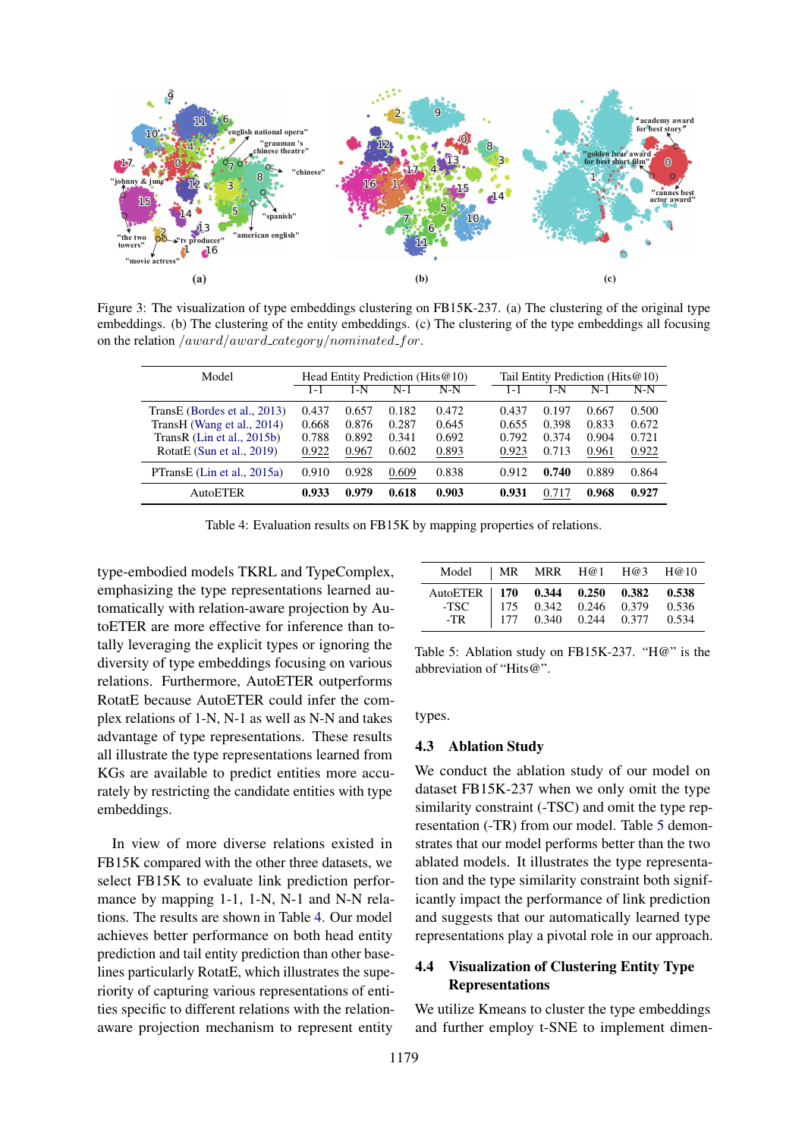<span id="page-7-2"></span>

Figure 3: The visualization of type embeddings clustering on FB15K-237. (a) The clustering of the original type embeddings. (b) The clustering of the entity embeddings. (c) The clustering of the type embeddings all focusing on the relation  $/award/award\_category/nominated\_for$ .

<span id="page-7-0"></span>

| Model                        | Head Entity Prediction (Hits $@10$ ) |       |       |       | Tail Entity Prediction (Hits@10) |       |       |       |
|------------------------------|--------------------------------------|-------|-------|-------|----------------------------------|-------|-------|-------|
|                              | 1 – I                                | 1-N   | $N-1$ | $N-N$ | 1 – I                            | 1-N   | $N-1$ | N-N   |
| TransE (Bordes et al., 2013) | 0.437                                | 0.657 | 0.182 | 0.472 | 0.437                            | 0.197 | 0.667 | 0.500 |
| TransH (Wang et al., 2014)   | 0.668                                | 0.876 | 0.287 | 0.645 | 0.655                            | 0.398 | 0.833 | 0.672 |
| TransR $(Lin et al., 2015b)$ | 0.788                                | 0.892 | 0.341 | 0.692 | 0.792                            | 0.374 | 0.904 | 0.721 |
| RotatE (Sun et al., $2019$ ) | 0.922                                | 0.967 | 0.602 | 0.893 | 0.923                            | 0.713 | 0.961 | 0.922 |
| PTransE (Lin et al., 2015a)  | 0.910                                | 0.928 | 0.609 | 0.838 | 0.912                            | 0.740 | 0.889 | 0.864 |
| AutoETER                     | 0.933                                | 0.979 | 0.618 | 0.903 | 0.931                            | 0.717 | 0.968 | 0.927 |

Table 4: Evaluation results on FB15K by mapping properties of relations.

type-embodied models TKRL and TypeComplex, emphasizing the type representations learned automatically with relation-aware projection by AutoETER are more effective for inference than totally leveraging the explicit types or ignoring the diversity of type embeddings focusing on various relations. Furthermore, AutoETER outperforms RotatE because AutoETER could infer the complex relations of 1-N, N-1 as well as N-N and takes advantage of type representations. These results all illustrate the type representations learned from KGs are available to predict entities more accurately by restricting the candidate entities with type embeddings.

In view of more diverse relations existed in FB15K compared with the other three datasets, we select FB15K to evaluate link prediction performance by mapping 1-1, 1-N, N-1 and N-N relations. The results are shown in Table [4.](#page-7-0) Our model achieves better performance on both head entity prediction and tail entity prediction than other baselines particularly RotatE, which illustrates the superiority of capturing various representations of entities specific to different relations with the relationaware projection mechanism to represent entity

<span id="page-7-1"></span>

| Model   MR MRR H@1 H@3 H@10 |  |  |  |
|-----------------------------|--|--|--|
|                             |  |  |  |

Table 5: Ablation study on FB15K-237. "H@" is the abbreviation of "Hits@".

types.

#### 4.3 Ablation Study

We conduct the ablation study of our model on dataset FB15K-237 when we only omit the type similarity constraint (-TSC) and omit the type representation (-TR) from our model. Table [5](#page-7-1) demonstrates that our model performs better than the two ablated models. It illustrates the type representation and the type similarity constraint both significantly impact the performance of link prediction and suggests that our automatically learned type representations play a pivotal role in our approach.

## 4.4 Visualization of Clustering Entity Type Representations

We utilize Kmeans to cluster the type embeddings and further employ t-SNE to implement dimen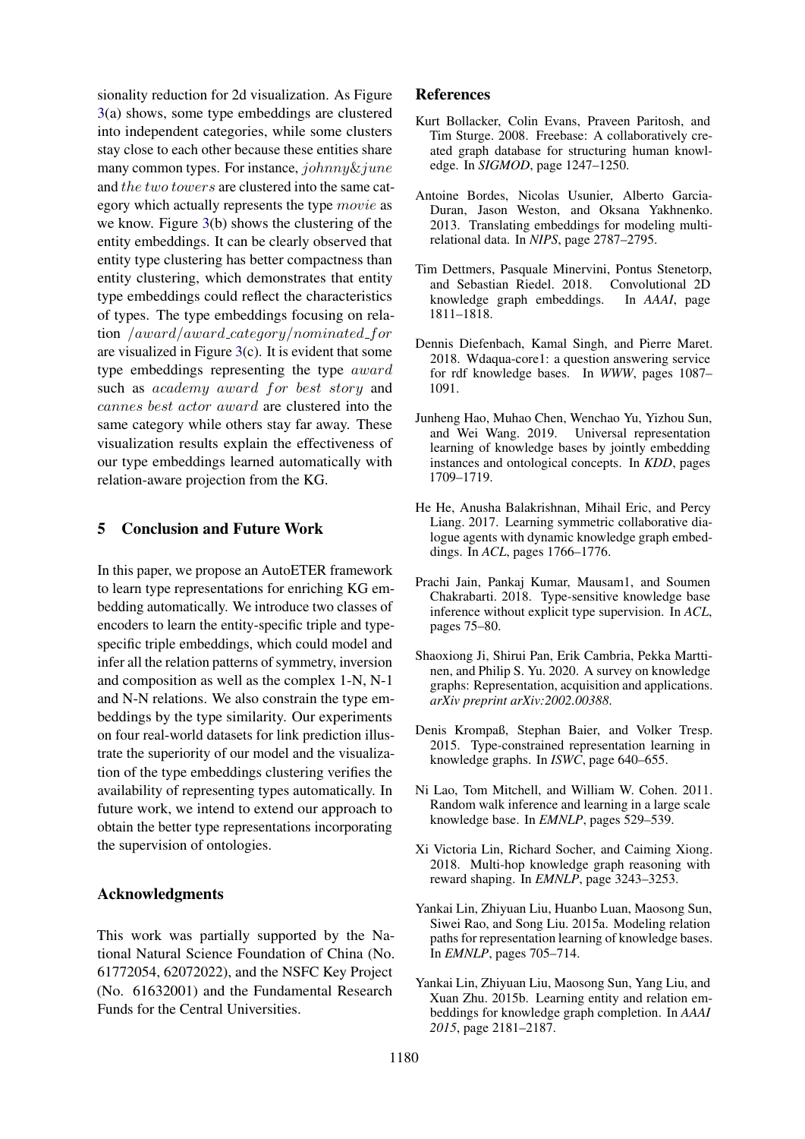sionality reduction for 2d visualization. As Figure [3\(](#page-7-2)a) shows, some type embeddings are clustered into independent categories, while some clusters stay close to each other because these entities share many common types. For instance, johnny&june and the two towers are clustered into the same category which actually represents the type movie as we know. Figure [3\(](#page-7-2)b) shows the clustering of the entity embeddings. It can be clearly observed that entity type clustering has better compactness than entity clustering, which demonstrates that entity type embeddings could reflect the characteristics of types. The type embeddings focusing on relation /award/award category/nominated for are visualized in Figure [3\(](#page-7-2)c). It is evident that some type embeddings representing the type award such as academy award for best story and cannes best actor award are clustered into the same category while others stay far away. These visualization results explain the effectiveness of our type embeddings learned automatically with relation-aware projection from the KG.

## 5 Conclusion and Future Work

In this paper, we propose an AutoETER framework to learn type representations for enriching KG embedding automatically. We introduce two classes of encoders to learn the entity-specific triple and typespecific triple embeddings, which could model and infer all the relation patterns of symmetry, inversion and composition as well as the complex 1-N, N-1 and N-N relations. We also constrain the type embeddings by the type similarity. Our experiments on four real-world datasets for link prediction illustrate the superiority of our model and the visualization of the type embeddings clustering verifies the availability of representing types automatically. In future work, we intend to extend our approach to obtain the better type representations incorporating the supervision of ontologies.

## Acknowledgments

This work was partially supported by the National Natural Science Foundation of China (No. 61772054, 62072022), and the NSFC Key Project (No. 61632001) and the Fundamental Research Funds for the Central Universities.

## References

- <span id="page-8-0"></span>Kurt Bollacker, Colin Evans, Praveen Paritosh, and Tim Sturge. 2008. Freebase: A collaboratively created graph database for structuring human knowledge. In *SIGMOD*, page 1247–1250.
- <span id="page-8-4"></span>Antoine Bordes, Nicolas Usunier, Alberto Garcia-Duran, Jason Weston, and Oksana Yakhnenko. 2013. Translating embeddings for modeling multirelational data. In *NIPS*, page 2787–2795.
- <span id="page-8-10"></span>Tim Dettmers, Pasquale Minervini, Pontus Stenetorp, and Sebastian Riedel. 2018. Convolutional 2D knowledge graph embeddings. In *AAAI*, page 1811–1818.
- <span id="page-8-1"></span>Dennis Diefenbach, Kamal Singh, and Pierre Maret. 2018. Wdaqua-core1: a question answering service for rdf knowledge bases. In *WWW*, pages 1087– 1091.
- <span id="page-8-6"></span>Junheng Hao, Muhao Chen, Wenchao Yu, Yizhou Sun, and Wei Wang. 2019. Universal representation learning of knowledge bases by jointly embedding instances and ontological concepts. In *KDD*, pages 1709–1719.
- <span id="page-8-2"></span>He He, Anusha Balakrishnan, Mihail Eric, and Percy Liang. 2017. Learning symmetric collaborative dialogue agents with dynamic knowledge graph embeddings. In *ACL*, pages 1766–1776.
- <span id="page-8-7"></span>Prachi Jain, Pankaj Kumar, Mausam1, and Soumen Chakrabarti. 2018. Type-sensitive knowledge base inference without explicit type supervision. In *ACL*, pages 75–80.
- <span id="page-8-9"></span>Shaoxiong Ji, Shirui Pan, Erik Cambria, Pekka Marttinen, and Philip S. Yu. 2020. A survey on knowledge graphs: Representation, acquisition and applications. *arXiv preprint arXiv:2002.00388*.
- <span id="page-8-12"></span>Denis Krompaß, Stephan Baier, and Volker Tresp. 2015. Type-constrained representation learning in knowledge graphs. In *ISWC*, page 640–655.
- <span id="page-8-8"></span>Ni Lao, Tom Mitchell, and William W. Cohen. 2011. Random walk inference and learning in a large scale knowledge base. In *EMNLP*, pages 529–539.
- <span id="page-8-3"></span>Xi Victoria Lin, Richard Socher, and Caiming Xiong. 2018. Multi-hop knowledge graph reasoning with reward shaping. In *EMNLP*, page 3243–3253.
- <span id="page-8-11"></span>Yankai Lin, Zhiyuan Liu, Huanbo Luan, Maosong Sun, Siwei Rao, and Song Liu. 2015a. Modeling relation paths for representation learning of knowledge bases. In *EMNLP*, pages 705–714.
- <span id="page-8-5"></span>Yankai Lin, Zhiyuan Liu, Maosong Sun, Yang Liu, and Xuan Zhu. 2015b. Learning entity and relation embeddings for knowledge graph completion. In *AAAI 2015*, page 2181–2187.